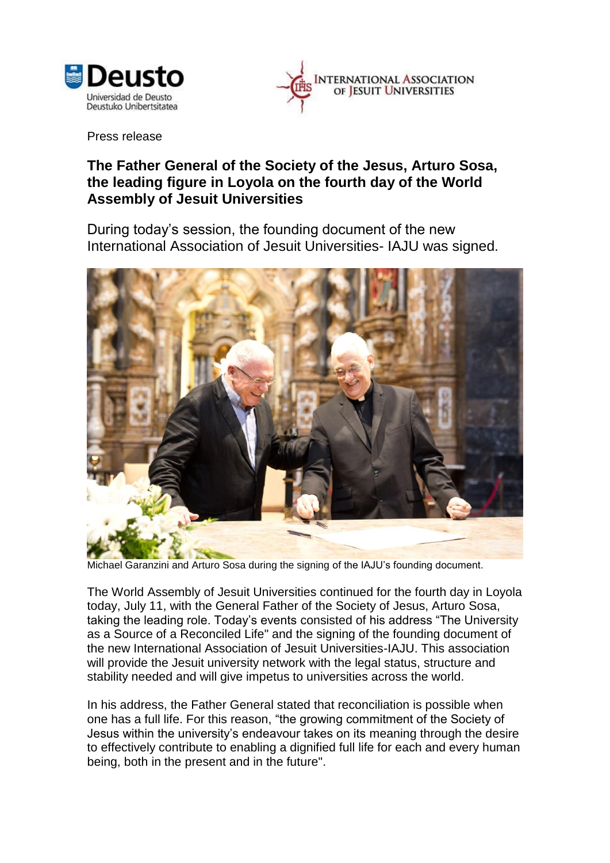



Press release

# **The Father General of the Society of the Jesus, Arturo Sosa, the leading figure in Loyola on the fourth day of the World Assembly of Jesuit Universities**

During today's session, the founding document of the new International Association of Jesuit Universities- IAJU was signed.



Michael Garanzini and Arturo Sosa during the signing of the IAJU's founding document.

The World Assembly of Jesuit Universities continued for the fourth day in Loyola today, July 11, with the General Father of the Society of Jesus, Arturo Sosa, taking the leading role. Today's events consisted of his address "The University as a Source of a Reconciled Life" and the signing of the founding document of the new International Association of Jesuit Universities-IAJU. This association will provide the Jesuit university network with the legal status, structure and stability needed and will give impetus to universities across the world.

In his address, the Father General stated that reconciliation is possible when one has a full life. For this reason, "the growing commitment of the Society of Jesus within the university's endeavour takes on its meaning through the desire to effectively contribute to enabling a dignified full life for each and every human being, both in the present and in the future".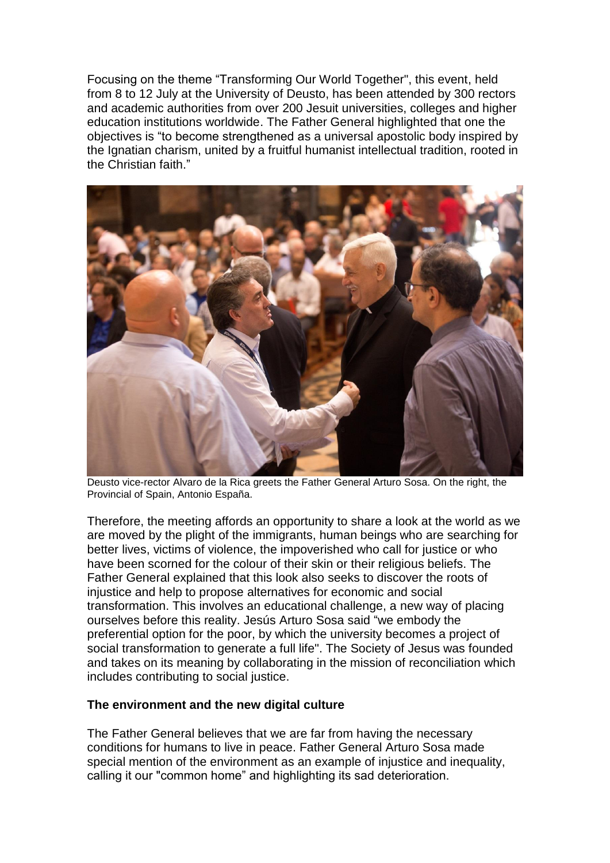Focusing on the theme "Transforming Our World Together", this event, held from 8 to 12 July at the University of Deusto, has been attended by 300 rectors and academic authorities from over 200 Jesuit universities, colleges and higher education institutions worldwide. The Father General highlighted that one the objectives is "to become strengthened as a universal apostolic body inspired by the Ignatian charism, united by a fruitful humanist intellectual tradition, rooted in the Christian faith."



Deusto vice-rector Alvaro de la Rica greets the Father General Arturo Sosa. On the right, the Provincial of Spain, Antonio España.

Therefore, the meeting affords an opportunity to share a look at the world as we are moved by the plight of the immigrants, human beings who are searching for better lives, victims of violence, the impoverished who call for justice or who have been scorned for the colour of their skin or their religious beliefs. The Father General explained that this look also seeks to discover the roots of injustice and help to propose alternatives for economic and social transformation. This involves an educational challenge, a new way of placing ourselves before this reality. Jesús Arturo Sosa said "we embody the preferential option for the poor, by which the university becomes a project of social transformation to generate a full life". The Society of Jesus was founded and takes on its meaning by collaborating in the mission of reconciliation which includes contributing to social justice.

### **The environment and the new digital culture**

The Father General believes that we are far from having the necessary conditions for humans to live in peace. Father General Arturo Sosa made special mention of the environment as an example of injustice and inequality, calling it our "common home" and highlighting its sad deterioration.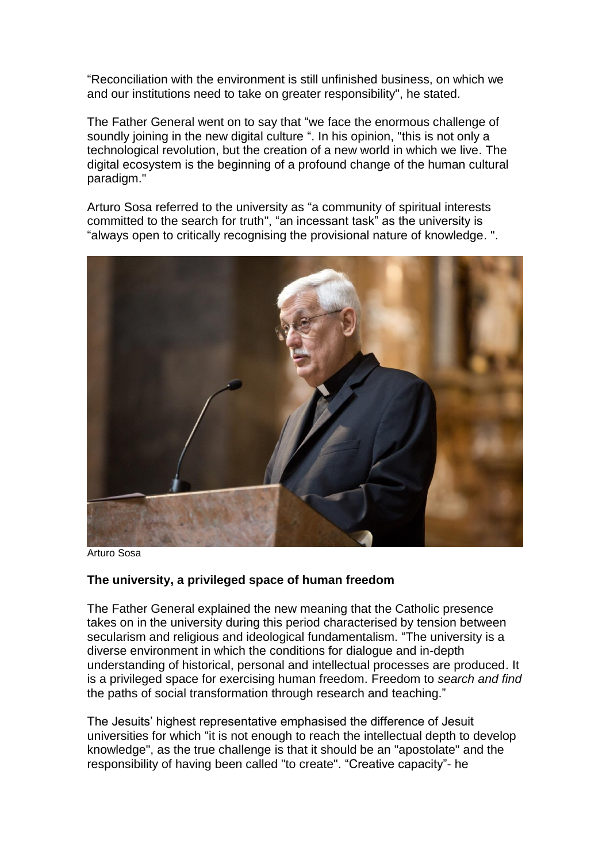"Reconciliation with the environment is still unfinished business, on which we and our institutions need to take on greater responsibility", he stated.

The Father General went on to say that "we face the enormous challenge of soundly joining in the new digital culture ". In his opinion, "this is not only a technological revolution, but the creation of a new world in which we live. The digital ecosystem is the beginning of a profound change of the human cultural paradigm."

Arturo Sosa referred to the university as "a community of spiritual interests committed to the search for truth", "an incessant task" as the university is "always open to critically recognising the provisional nature of knowledge. ".



Arturo Sosa

#### **The university, a privileged space of human freedom**

The Father General explained the new meaning that the Catholic presence takes on in the university during this period characterised by tension between secularism and religious and ideological fundamentalism. "The university is a diverse environment in which the conditions for dialogue and in-depth understanding of historical, personal and intellectual processes are produced. It is a privileged space for exercising human freedom. Freedom to *search and find* the paths of social transformation through research and teaching."

The Jesuits' highest representative emphasised the difference of Jesuit universities for which "it is not enough to reach the intellectual depth to develop knowledge", as the true challenge is that it should be an "apostolate" and the responsibility of having been called "to create". "Creative capacity"- he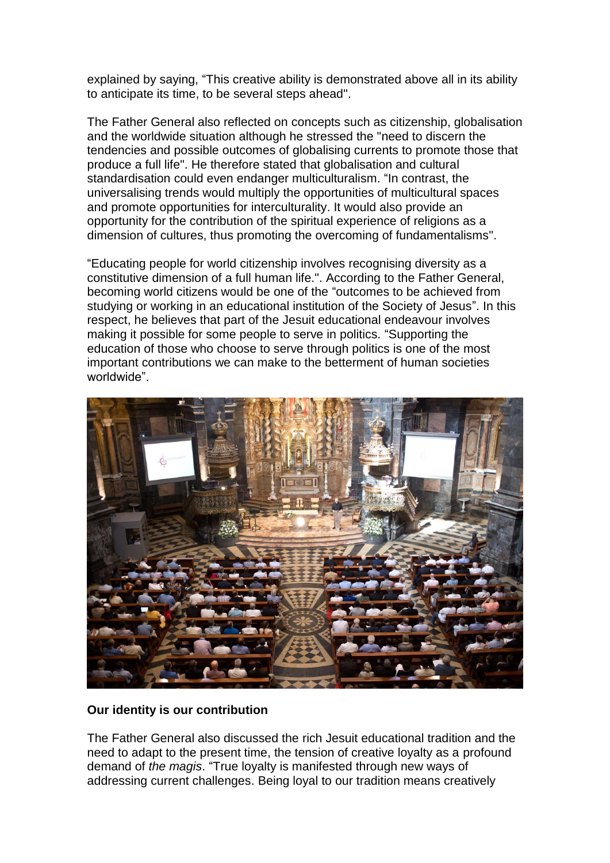explained by saying, "This creative ability is demonstrated above all in its ability to anticipate its time, to be several steps ahead".

The Father General also reflected on concepts such as citizenship, globalisation and the worldwide situation although he stressed the "need to discern the tendencies and possible outcomes of globalising currents to promote those that produce a full life". He therefore stated that globalisation and cultural standardisation could even endanger multiculturalism. "In contrast, the universalising trends would multiply the opportunities of multicultural spaces and promote opportunities for interculturality. It would also provide an opportunity for the contribution of the spiritual experience of religions as a dimension of cultures, thus promoting the overcoming of fundamentalisms".

"Educating people for world citizenship involves recognising diversity as a constitutive dimension of a full human life.". According to the Father General, becoming world citizens would be one of the "outcomes to be achieved from studying or working in an educational institution of the Society of Jesus". In this respect, he believes that part of the Jesuit educational endeavour involves making it possible for some people to serve in politics. "Supporting the education of those who choose to serve through politics is one of the most important contributions we can make to the betterment of human societies worldwide".



### **Our identity is our contribution**

The Father General also discussed the rich Jesuit educational tradition and the need to adapt to the present time, the tension of creative loyalty as a profound demand of *the magis*. "True loyalty is manifested through new ways of addressing current challenges. Being loyal to our tradition means creatively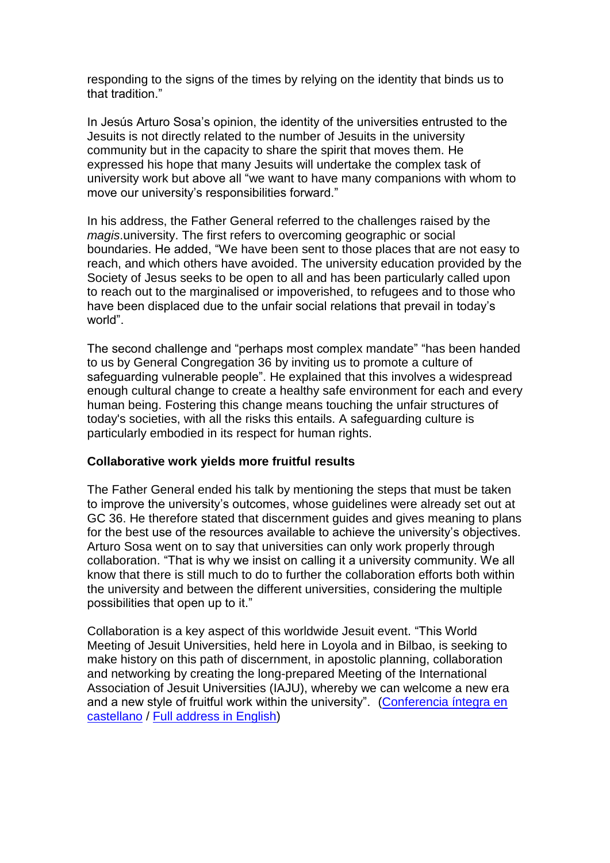responding to the signs of the times by relying on the identity that binds us to that tradition."

In Jesús Arturo Sosa's opinion, the identity of the universities entrusted to the Jesuits is not directly related to the number of Jesuits in the university community but in the capacity to share the spirit that moves them. He expressed his hope that many Jesuits will undertake the complex task of university work but above all "we want to have many companions with whom to move our university's responsibilities forward."

In his address, the Father General referred to the challenges raised by the *magis*.university. The first refers to overcoming geographic or social boundaries. He added, "We have been sent to those places that are not easy to reach, and which others have avoided. The university education provided by the Society of Jesus seeks to be open to all and has been particularly called upon to reach out to the marginalised or impoverished, to refugees and to those who have been displaced due to the unfair social relations that prevail in today's world".

The second challenge and "perhaps most complex mandate" "has been handed to us by General Congregation 36 by inviting us to promote a culture of safeguarding vulnerable people". He explained that this involves a widespread enough cultural change to create a healthy safe environment for each and every human being. Fostering this change means touching the unfair structures of today's societies, with all the risks this entails. A safeguarding culture is particularly embodied in its respect for human rights.

### **Collaborative work yields more fruitful results**

The Father General ended his talk by mentioning the steps that must be taken to improve the university's outcomes, whose guidelines were already set out at GC 36. He therefore stated that discernment guides and gives meaning to plans for the best use of the resources available to achieve the university's objectives. Arturo Sosa went on to say that universities can only work properly through collaboration. "That is why we insist on calling it a university community. We all know that there is still much to do to further the collaboration efforts both within the university and between the different universities, considering the multiple possibilities that open up to it."

Collaboration is a key aspect of this worldwide Jesuit event. "This World Meeting of Jesuit Universities, held here in Loyola and in Bilbao, is seeking to make history on this path of discernment, in apostolic planning, collaboration and networking by creating the long-prepared Meeting of the International Association of Jesuit Universities (IAJU), whereby we can welcome a new era and a new style of fruitful work within the university". (Conferencia íntegra en [castellano](http://iaju.deusto.es/wp-content/uploads/2018/07/La-universidad-fuente-de-vida-reconciliada.-Arturo-Sosa.pdf) / [Full address in English\)](http://iaju.deusto.es/wp-content/uploads/2018/07/The-university-as-a-source-of-a-reconciled-life.-Arturo-Sosa.pdf)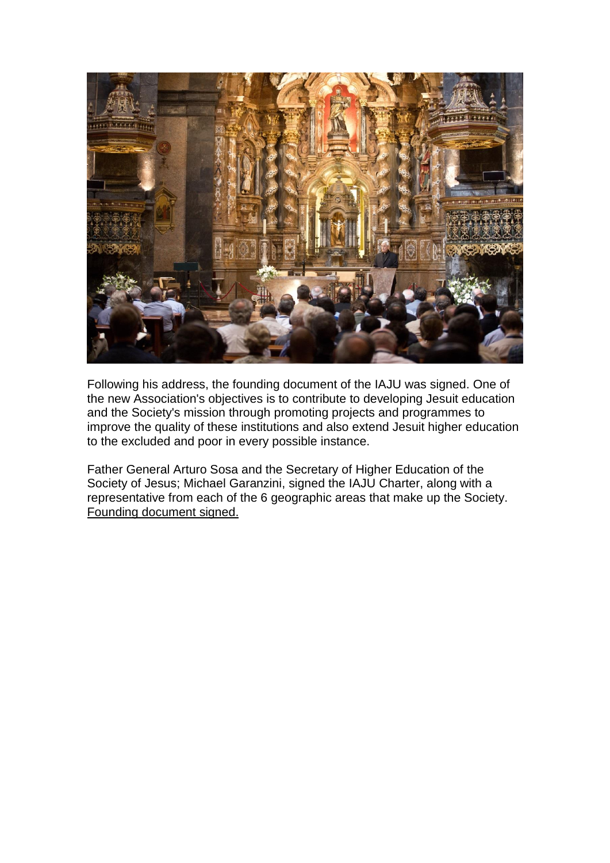

Following his address, the founding document of the IAJU was signed. One of the new Association's objectives is to contribute to developing Jesuit education and the Society's mission through promoting projects and programmes to improve the quality of these institutions and also extend Jesuit higher education to the excluded and poor in every possible instance.

Father General Arturo Sosa and the Secretary of Higher Education of the Society of Jesus; Michael Garanzini, signed the IAJU Charter, along with a representative from each of the 6 geographic areas that make up the Society. [Founding document signed.](http://iaju.deusto.es/wp-content/uploads/2018/07/Charter-International-Association-of-Jesuit-Universities.pdf)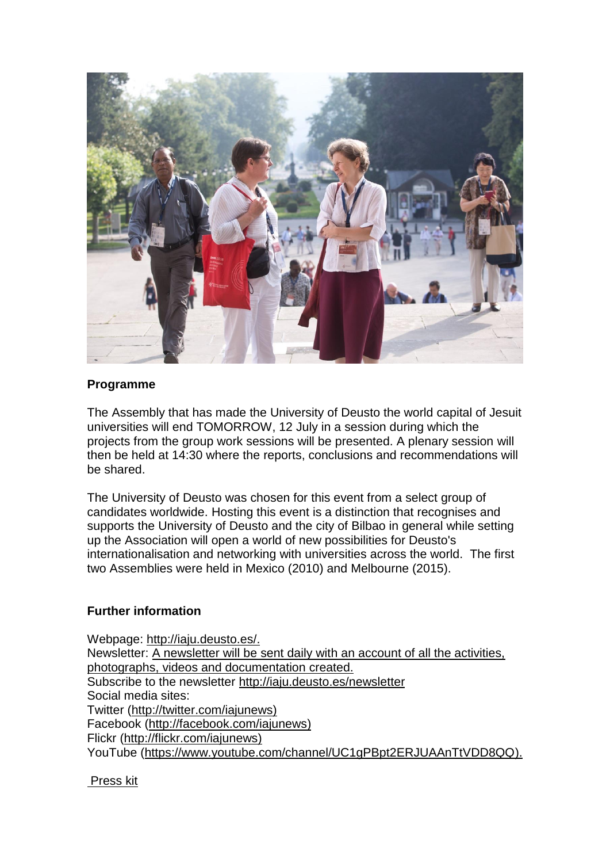

### **Programme**

The Assembly that has made the University of Deusto the world capital of Jesuit universities will end TOMORROW, 12 July in a session during which the projects from the group work sessions will be presented. A plenary session will then be held at 14:30 where the reports, conclusions and recommendations will be shared.

The University of Deusto was chosen for this event from a select group of candidates worldwide. Hosting this event is a distinction that recognises and supports the University of Deusto and the city of Bilbao in general while setting up the Association will open a world of new possibilities for Deusto's internationalisation and networking with universities across the world. The first two Assemblies were held in Mexico (2010) and Melbourne (2015).

## **Further information**

Webpage: [http://iaju.deusto.es/.](http://iaju.deusto.es/) Newsletter: A newsletter will be sent daily with an account of all the activities, photographs, videos and documentation created. Subscribe to the newsletter<http://iaju.deusto.es/newsletter> Social media sites: Twitter [\(http://twitter.com/iajunews\)](http://twitter.com/iajunews) Facebook [\(http://facebook.com/iajunews\)](http://facebook.com/iajunews) Flickr [\(http://flickr.com/iajunews\)](http://flickr.com/iajunews) YouTube [\(https://www.youtube.com/channel/UC1gPBpt2ERJUAAnTtVDD8QQ\)](https://www.youtube.com/channel/UC1gPBpt2ERJUAAnTtVDD8QQ).

[Press kit](https://drive.google.com/open?id=1pJOZmBMdYBn9CeN8J4y_1DnfSLca6Ci_)